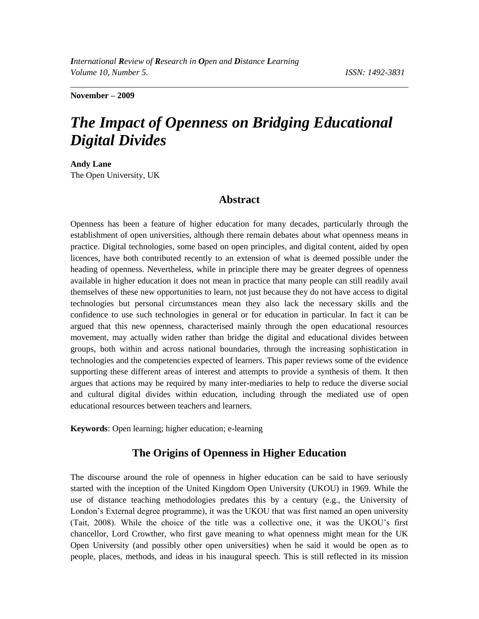**November – 2009**

# *The Impact of Openness on Bridging Educational Digital Divides*

**Andy Lane** The Open University, UK

#### **Abstract**

Openness has been a feature of higher education for many decades, particularly through the establishment of open universities, although there remain debates about what openness means in practice. Digital technologies, some based on open principles, and digital content, aided by open licences, have both contributed recently to an extension of what is deemed possible under the heading of openness. Nevertheless, while in principle there may be greater degrees of openness available in higher education it does not mean in practice that many people can still readily avail themselves of these new opportunities to learn, not just because they do not have access to digital technologies but personal circumstances mean they also lack the necessary skills and the confidence to use such technologies in general or for education in particular. In fact it can be argued that this new openness, characterised mainly through the open educational resources movement, may actually widen rather than bridge the digital and educational divides between groups, both within and across national boundaries, through the increasing sophistication in technologies and the competencies expected of learners. This paper reviews some of the evidence supporting these different areas of interest and attempts to provide a synthesis of them. It then argues that actions may be required by many inter-mediaries to help to reduce the diverse social and cultural digital divides within education, including through the mediated use of open educational resources between teachers and learners.

**Keywords**: Open learning; higher education; e-learning

### **The Origins of Openness in Higher Education**

The discourse around the role of openness in higher education can be said to have seriously started with the inception of the United Kingdom Open University (UKOU) in 1969. While the use of distance teaching methodologies predates this by a century (e.g., the University of London"s External degree programme), it was the UKOU that was first named an open university (Tait, 2008). While the choice of the title was a collective one, it was the UKOU"s first chancellor, Lord Crowther, who first gave meaning to what openness might mean for the UK Open University (and possibly other open universities) when he said it would be open as to people, places, methods, and ideas in his inaugural speech. This is still reflected in its mission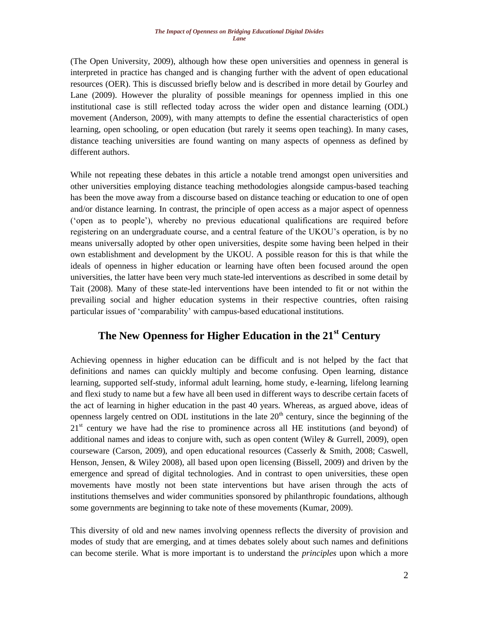(The Open University, 2009), although how these open universities and openness in general is interpreted in practice has changed and is changing further with the advent of open educational resources (OER). This is discussed briefly below and is described in more detail by Gourley and Lane (2009). However the plurality of possible meanings for openness implied in this one institutional case is still reflected today across the wider open and distance learning (ODL) movement (Anderson, 2009), with many attempts to define the essential characteristics of open learning, open schooling, or open education (but rarely it seems open teaching). In many cases, distance teaching universities are found wanting on many aspects of openness as defined by different authors.

While not repeating these debates in this article a notable trend amongst open universities and other universities employing distance teaching methodologies alongside campus-based teaching has been the move away from a discourse based on distance teaching or education to one of open and/or distance learning. In contrast, the principle of open access as a major aspect of openness ("open as to people"), whereby no previous educational qualifications are required before registering on an undergraduate course, and a central feature of the UKOU"s operation, is by no means universally adopted by other open universities, despite some having been helped in their own establishment and development by the UKOU. A possible reason for this is that while the ideals of openness in higher education or learning have often been focused around the open universities, the latter have been very much state-led interventions as described in some detail by Tait (2008). Many of these state-led interventions have been intended to fit or not within the prevailing social and higher education systems in their respective countries, often raising particular issues of "comparability" with campus-based educational institutions.

## **The New Openness for Higher Education in the 21st Century**

Achieving openness in higher education can be difficult and is not helped by the fact that definitions and names can quickly multiply and become confusing. Open learning, distance learning, supported self-study, informal adult learning, home study, e-learning, lifelong learning and flexi study to name but a few have all been used in different ways to describe certain facets of the act of learning in higher education in the past 40 years. Whereas, as argued above, ideas of openness largely centred on ODL institutions in the late  $20<sup>th</sup>$  century, since the beginning of the  $21<sup>st</sup>$  century we have had the rise to prominence across all HE institutions (and beyond) of additional names and ideas to conjure with, such as open content (Wiley  $&$  Gurrell, 2009), open courseware (Carson, 2009), and open educational resources (Casserly & Smith, 2008; Caswell, Henson, Jensen, & Wiley 2008), all based upon open licensing (Bissell, 2009) and driven by the emergence and spread of digital technologies. And in contrast to open universities, these open movements have mostly not been state interventions but have arisen through the acts of institutions themselves and wider communities sponsored by philanthropic foundations, although some governments are beginning to take note of these movements (Kumar, 2009).

This diversity of old and new names involving openness reflects the diversity of provision and modes of study that are emerging, and at times debates solely about such names and definitions can become sterile. What is more important is to understand the *principles* upon which a more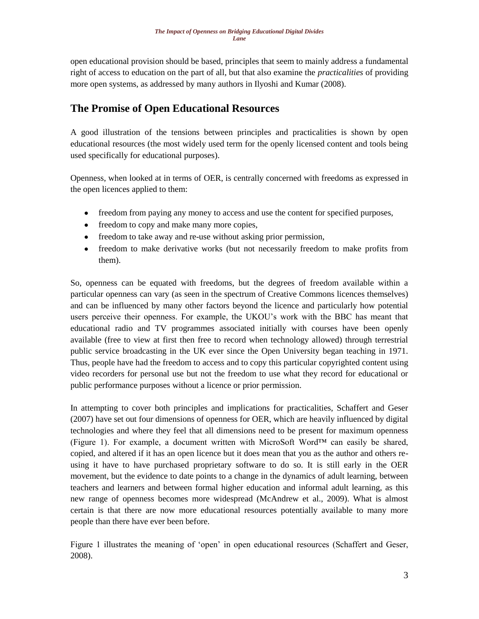open educational provision should be based, principles that seem to mainly address a fundamental right of access to education on the part of all, but that also examine the *practicalities* of providing more open systems, as addressed by many authors in Ilyoshi and Kumar (2008).

# **The Promise of Open Educational Resources**

A good illustration of the tensions between principles and practicalities is shown by open educational resources (the most widely used term for the openly licensed content and tools being used specifically for educational purposes).

Openness, when looked at in terms of OER, is centrally concerned with freedoms as expressed in the open licences applied to them:

- freedom from paying any money to access and use the content for specified purposes,
- freedom to copy and make many more copies,
- freedom to take away and re-use without asking prior permission,
- freedom to make derivative works (but not necessarily freedom to make profits from them).

So, openness can be equated with freedoms, but the degrees of freedom available within a particular openness can vary (as seen in the spectrum of Creative Commons licences themselves) and can be influenced by many other factors beyond the licence and particularly how potential users perceive their openness. For example, the UKOU"s work with the BBC has meant that educational radio and TV programmes associated initially with courses have been openly available (free to view at first then free to record when technology allowed) through terrestrial public service broadcasting in the UK ever since the Open University began teaching in 1971. Thus, people have had the freedom to access and to copy this particular copyrighted content using video recorders for personal use but not the freedom to use what they record for educational or public performance purposes without a licence or prior permission.

In attempting to cover both principles and implications for practicalities, Schaffert and Geser (2007) have set out four dimensions of openness for OER, which are heavily influenced by digital technologies and where they feel that all dimensions need to be present for maximum openness (Figure 1). For example, a document written with MicroSoft Word<sup>TM</sup> can easily be shared, copied, and altered if it has an open licence but it does mean that you as the author and others reusing it have to have purchased proprietary software to do so. It is still early in the OER movement, but the evidence to date points to a change in the dynamics of adult learning, between teachers and learners and between formal higher education and informal adult learning, as this new range of openness becomes more widespread (McAndrew et al., 2009). What is almost certain is that there are now more educational resources potentially available to many more people than there have ever been before.

Figure 1 illustrates the meaning of "open" in open educational resources (Schaffert and Geser, 2008).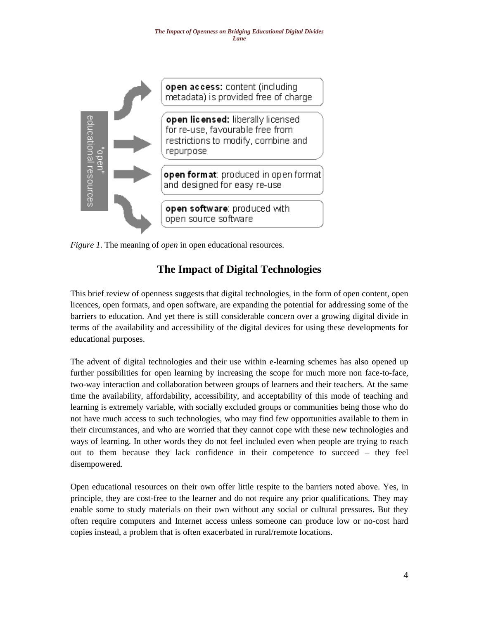

*Figure 1*. The meaning of *open* in open educational resources.

# **The Impact of Digital Technologies**

This brief review of openness suggests that digital technologies, in the form of open content, open licences, open formats, and open software, are expanding the potential for addressing some of the barriers to education. And yet there is still considerable concern over a growing digital divide in terms of the availability and accessibility of the digital devices for using these developments for educational purposes.

The advent of digital technologies and their use within e-learning schemes has also opened up further possibilities for open learning by increasing the scope for much more non face-to-face, two-way interaction and collaboration between groups of learners and their teachers. At the same time the availability, affordability, accessibility, and acceptability of this mode of teaching and learning is extremely variable, with socially excluded groups or communities being those who do not have much access to such technologies, who may find few opportunities available to them in their circumstances, and who are worried that they cannot cope with these new technologies and ways of learning. In other words they do not feel included even when people are trying to reach out to them because they lack confidence in their competence to succeed – they feel disempowered.

Open educational resources on their own offer little respite to the barriers noted above. Yes, in principle, they are cost-free to the learner and do not require any prior qualifications. They may enable some to study materials on their own without any social or cultural pressures. But they often require computers and Internet access unless someone can produce low or no-cost hard copies instead, a problem that is often exacerbated in rural/remote locations.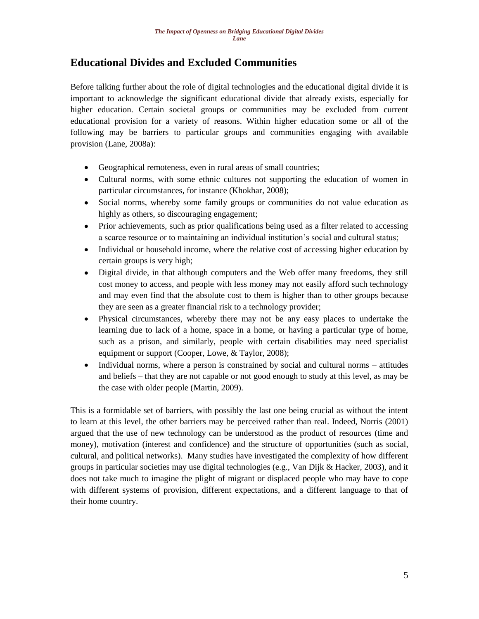# **Educational Divides and Excluded Communities**

Before talking further about the role of digital technologies and the educational digital divide it is important to acknowledge the significant educational divide that already exists, especially for higher education. Certain societal groups or communities may be excluded from current educational provision for a variety of reasons. Within higher education some or all of the following may be barriers to particular groups and communities engaging with available provision (Lane, 2008a):

- Geographical remoteness, even in rural areas of small countries;
- Cultural norms, with some ethnic cultures not supporting the education of women in particular circumstances, for instance (Khokhar, 2008);
- Social norms, whereby some family groups or communities do not value education as highly as others, so discouraging engagement;
- Prior achievements, such as prior qualifications being used as a filter related to accessing a scarce resource or to maintaining an individual institution"s social and cultural status;
- Individual or household income, where the relative cost of accessing higher education by certain groups is very high;
- Digital divide, in that although computers and the Web offer many freedoms, they still cost money to access, and people with less money may not easily afford such technology and may even find that the absolute cost to them is higher than to other groups because they are seen as a greater financial risk to a technology provider;
- Physical circumstances, whereby there may not be any easy places to undertake the learning due to lack of a home, space in a home, or having a particular type of home, such as a prison, and similarly, people with certain disabilities may need specialist equipment or support (Cooper, Lowe, & Taylor, 2008);
- Individual norms, where a person is constrained by social and cultural norms attitudes and beliefs – that they are not capable or not good enough to study at this level, as may be the case with older people (Martin, 2009).

This is a formidable set of barriers, with possibly the last one being crucial as without the intent to learn at this level, the other barriers may be perceived rather than real. Indeed, Norris (2001) argued that the use of new technology can be understood as the product of resources (time and money), motivation (interest and confidence) and the structure of opportunities (such as social, cultural, and political networks). Many studies have investigated the complexity of how different groups in particular societies may use digital technologies (e.g., Van Dijk & Hacker, 2003), and it does not take much to imagine the plight of migrant or displaced people who may have to cope with different systems of provision, different expectations, and a different language to that of their home country.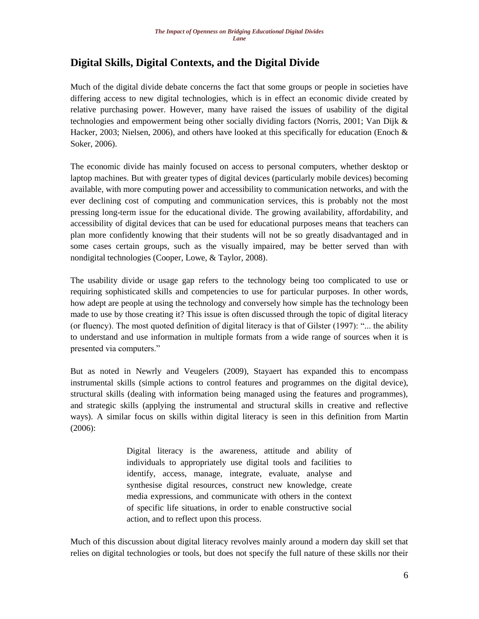# **Digital Skills, Digital Contexts, and the Digital Divide**

Much of the digital divide debate concerns the fact that some groups or people in societies have differing access to new digital technologies, which is in effect an economic divide created by relative purchasing power. However, many have raised the issues of usability of the digital technologies and empowerment being other socially dividing factors (Norris, 2001; Van Dijk & Hacker, 2003; Nielsen, 2006), and others have looked at this specifically for education (Enoch  $\&$ Soker, 2006).

The economic divide has mainly focused on access to personal computers, whether desktop or laptop machines. But with greater types of digital devices (particularly mobile devices) becoming available, with more computing power and accessibility to communication networks, and with the ever declining cost of computing and communication services, this is probably not the most pressing long-term issue for the educational divide. The growing availability, affordability, and accessibility of digital devices that can be used for educational purposes means that teachers can plan more confidently knowing that their students will not be so greatly disadvantaged and in some cases certain groups, such as the visually impaired, may be better served than with nondigital technologies (Cooper, Lowe, & Taylor, 2008).

The usability divide or usage gap refers to the technology being too complicated to use or requiring sophisticated skills and competencies to use for particular purposes. In other words, how adept are people at using the technology and conversely how simple has the technology been made to use by those creating it? This issue is often discussed through the topic of digital literacy (or fluency). The most quoted definition of digital literacy is that of Gilster (1997): "... the ability to understand and use information in multiple formats from a wide range of sources when it is presented via computers."

But as noted in Newrly and Veugelers (2009), Stayaert has expanded this to encompass instrumental skills (simple actions to control features and programmes on the digital device), structural skills (dealing with information being managed using the features and programmes), and strategic skills (applying the instrumental and structural skills in creative and reflective ways). A similar focus on skills within digital literacy is seen in this definition from Martin (2006):

> Digital literacy is the awareness, attitude and ability of individuals to appropriately use digital tools and facilities to identify, access, manage, integrate, evaluate, analyse and synthesise digital resources, construct new knowledge, create media expressions, and communicate with others in the context of specific life situations, in order to enable constructive social action, and to reflect upon this process.

Much of this discussion about digital literacy revolves mainly around a modern day skill set that relies on digital technologies or tools, but does not specify the full nature of these skills nor their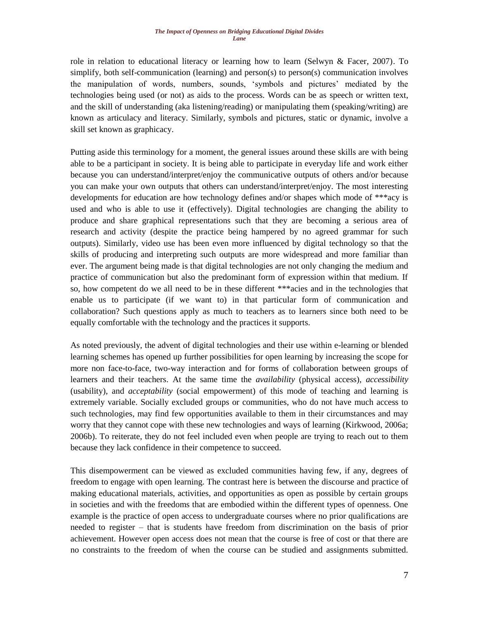#### *The Impact of Openness on Bridging Educational Digital Divides Lane*

role in relation to educational literacy or learning how to learn (Selwyn & Facer, 2007). To simplify, both self-communication (learning) and person(s) to person(s) communication involves the manipulation of words, numbers, sounds, "symbols and pictures" mediated by the technologies being used (or not) as aids to the process. Words can be as speech or written text, and the skill of understanding (aka listening/reading) or manipulating them (speaking/writing) are known as articulacy and literacy. Similarly, symbols and pictures, static or dynamic, involve a skill set known as graphicacy.

Putting aside this terminology for a moment, the general issues around these skills are with being able to be a participant in society. It is being able to participate in everyday life and work either because you can understand/interpret/enjoy the communicative outputs of others and/or because you can make your own outputs that others can understand/interpret/enjoy. The most interesting developments for education are how technology defines and/or shapes which mode of \*\*\*acy is used and who is able to use it (effectively). Digital technologies are changing the ability to produce and share graphical representations such that they are becoming a serious area of research and activity (despite the practice being hampered by no agreed grammar for such outputs). Similarly, video use has been even more influenced by digital technology so that the skills of producing and interpreting such outputs are more widespread and more familiar than ever. The argument being made is that digital technologies are not only changing the medium and practice of communication but also the predominant form of expression within that medium. If so, how competent do we all need to be in these different \*\*\*acies and in the technologies that enable us to participate (if we want to) in that particular form of communication and collaboration? Such questions apply as much to teachers as to learners since both need to be equally comfortable with the technology and the practices it supports.

As noted previously, the advent of digital technologies and their use within e-learning or blended learning schemes has opened up further possibilities for open learning by increasing the scope for more non face-to-face, two-way interaction and for forms of collaboration between groups of learners and their teachers. At the same time the *availability* (physical access), *accessibility*  (usability), and *acceptability* (social empowerment) of this mode of teaching and learning is extremely variable. Socially excluded groups or communities, who do not have much access to such technologies, may find few opportunities available to them in their circumstances and may worry that they cannot cope with these new technologies and ways of learning (Kirkwood, 2006a; 2006b). To reiterate, they do not feel included even when people are trying to reach out to them because they lack confidence in their competence to succeed.

This disempowerment can be viewed as excluded communities having few, if any, degrees of freedom to engage with open learning. The contrast here is between the discourse and practice of making educational materials, activities, and opportunities as open as possible by certain groups in societies and with the freedoms that are embodied within the different types of openness. One example is the practice of open access to undergraduate courses where no prior qualifications are needed to register – that is students have freedom from discrimination on the basis of prior achievement. However open access does not mean that the course is free of cost or that there are no constraints to the freedom of when the course can be studied and assignments submitted.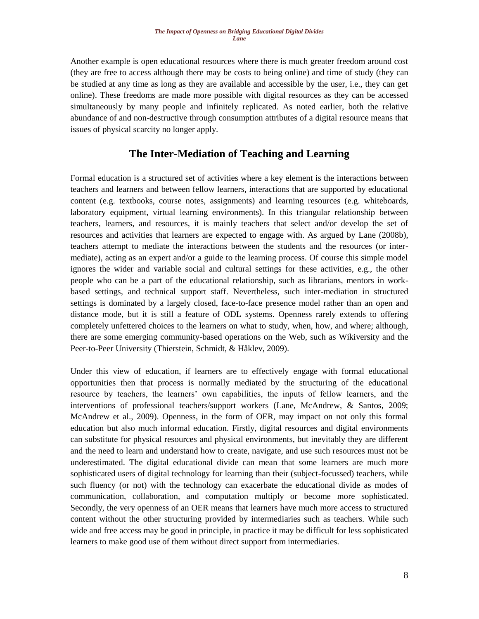#### *The Impact of Openness on Bridging Educational Digital Divides Lane*

Another example is open educational resources where there is much greater freedom around cost (they are free to access although there may be costs to being online) and time of study (they can be studied at any time as long as they are available and accessible by the user, i.e., they can get online). These freedoms are made more possible with digital resources as they can be accessed simultaneously by many people and infinitely replicated. As noted earlier, both the relative abundance of and non-destructive through consumption attributes of a digital resource means that issues of physical scarcity no longer apply.

#### **The Inter-Mediation of Teaching and Learning**

Formal education is a structured set of activities where a key element is the interactions between teachers and learners and between fellow learners, interactions that are supported by educational content (e.g. textbooks, course notes, assignments) and learning resources (e.g. whiteboards, laboratory equipment, virtual learning environments). In this triangular relationship between teachers, learners, and resources, it is mainly teachers that select and/or develop the set of resources and activities that learners are expected to engage with. As argued by Lane (2008b), teachers attempt to mediate the interactions between the students and the resources (or intermediate), acting as an expert and/or a guide to the learning process. Of course this simple model ignores the wider and variable social and cultural settings for these activities, e.g., the other people who can be a part of the educational relationship, such as librarians, mentors in workbased settings, and technical support staff. Nevertheless, such inter-mediation in structured settings is dominated by a largely closed, face-to-face presence model rather than an open and distance mode, but it is still a feature of ODL systems. Openness rarely extends to offering completely unfettered choices to the learners on what to study, when, how, and where; although, there are some emerging community-based operations on the Web, such as Wikiversity and the Peer-to-Peer University (Thierstein, Schmidt, & Håklev, 2009).

Under this view of education, if learners are to effectively engage with formal educational opportunities then that process is normally mediated by the structuring of the educational resource by teachers, the learners" own capabilities, the inputs of fellow learners, and the interventions of professional teachers/support workers (Lane, McAndrew, & Santos, 2009; McAndrew et al., 2009). Openness, in the form of OER, may impact on not only this formal education but also much informal education. Firstly, digital resources and digital environments can substitute for physical resources and physical environments, but inevitably they are different and the need to learn and understand how to create, navigate, and use such resources must not be underestimated. The digital educational divide can mean that some learners are much more sophisticated users of digital technology for learning than their (subject-focussed) teachers, while such fluency (or not) with the technology can exacerbate the educational divide as modes of communication, collaboration, and computation multiply or become more sophisticated. Secondly, the very openness of an OER means that learners have much more access to structured content without the other structuring provided by intermediaries such as teachers. While such wide and free access may be good in principle, in practice it may be difficult for less sophisticated learners to make good use of them without direct support from intermediaries.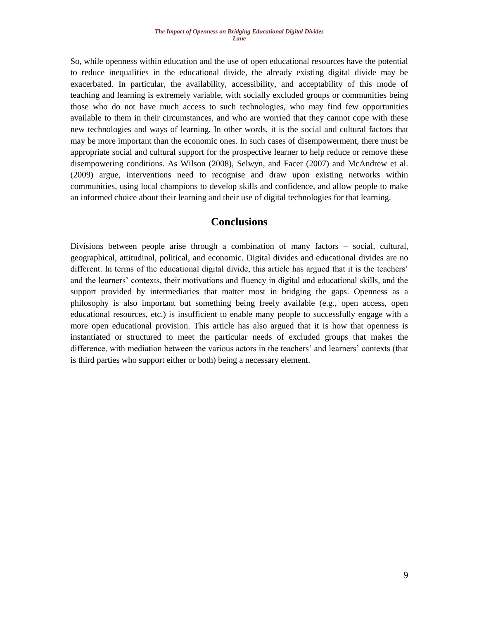So, while openness within education and the use of open educational resources have the potential to reduce inequalities in the educational divide, the already existing digital divide may be exacerbated. In particular, the availability, accessibility, and acceptability of this mode of teaching and learning is extremely variable, with socially excluded groups or communities being those who do not have much access to such technologies, who may find few opportunities available to them in their circumstances, and who are worried that they cannot cope with these new technologies and ways of learning. In other words, it is the social and cultural factors that may be more important than the economic ones. In such cases of disempowerment, there must be appropriate social and cultural support for the prospective learner to help reduce or remove these disempowering conditions. As Wilson (2008), Selwyn, and Facer (2007) and McAndrew et al. (2009) argue, interventions need to recognise and draw upon existing networks within communities, using local champions to develop skills and confidence, and allow people to make an informed choice about their learning and their use of digital technologies for that learning.

#### **Conclusions**

Divisions between people arise through a combination of many factors – social, cultural, geographical, attitudinal, political, and economic. Digital divides and educational divides are no different. In terms of the educational digital divide, this article has argued that it is the teachers' and the learners" contexts, their motivations and fluency in digital and educational skills, and the support provided by intermediaries that matter most in bridging the gaps. Openness as a philosophy is also important but something being freely available (e.g., open access, open educational resources, etc.) is insufficient to enable many people to successfully engage with a more open educational provision. This article has also argued that it is how that openness is instantiated or structured to meet the particular needs of excluded groups that makes the difference, with mediation between the various actors in the teachers' and learners' contexts (that is third parties who support either or both) being a necessary element.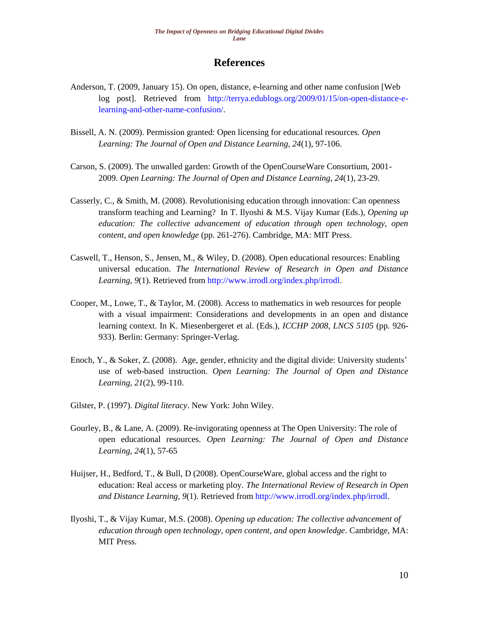#### **References**

- Anderson, T. (2009, January 15). On open, distance, e-learning and other name confusion [Web log post]. Retrieved from [http://terrya.edublogs.org/2009/01/15/on-open-distance-e](http://terrya.edublogs.org/2009/01/15/on-open-distance-e-learning-and-other-name-confusion/)[learning-and-other-name-confusion/.](http://terrya.edublogs.org/2009/01/15/on-open-distance-e-learning-and-other-name-confusion/)
- Bissell, A. N. (2009). Permission granted: Open licensing for educational resources. *Open Learning: The Journal of Open and Distance Learning, 24*(1), 97-106.
- Carson, S. (2009). The unwalled garden: Growth of the OpenCourseWare Consortium, 2001- 2009. *Open Learning: The Journal of Open and Distance Learning, 24*(1), 23-29.
- Casserly, C., & Smith, M. (2008). Revolutionising education through innovation: Can openness transform teaching and Learning? In T. Ilyoshi & M.S. Vijay Kumar (Eds.), *Opening up education: The collective advancement of education through open technology, open content, and open knowledge* (pp. 261-276). Cambridge, MA: MIT Press.
- Caswell, T., Henson, S., Jensen, M., & Wiley, D. (2008). Open educational resources: Enabling universal education. *The International Review of Research in Open and Distance Learning, 9*(1). Retrieved from [http://www.irrodl.org/index.php/irrodl.](http://www.irrodl.org/index.php/irrodl)
- Cooper, M., Lowe, T., & Taylor, M. (2008). Access to mathematics in web resources for people with a visual impairment: Considerations and developments in an open and distance learning context. In K. Miesenbergeret et al. (Eds.), *ICCHP 2008, LNCS 5105* (pp. 926- 933). Berlin: Germany: Springer-Verlag.
- Enoch, Y., & Soker, Z. (2008). Age, gender, ethnicity and the digital divide: University students' use of web-based instruction. *Open Learning: The Journal of Open and Distance Learning, 21*(2), 99-110.
- Gilster, P. (1997). *Digital literacy*. New York: John Wiley.
- Gourley, B., & Lane, A. (2009). Re-invigorating openness at The Open University: The role of open educational resources. *Open Learning: The Journal of Open and Distance Learning, 24*(1), 57-65
- Huijser, H., Bedford, T., & Bull, D (2008). OpenCourseWare, global access and the right to education: Real access or marketing ploy*. The International Review of Research in Open and Distance Learning, 9*(1). Retrieved from [http://www.irrodl.org/index.php/irrodl.](http://www.irrodl.org/index.php/irrodl)
- Ilyoshi, T., & Vijay Kumar, M.S. (2008). *Opening up education: The collective advancement of education through open technology, open content, and open knowledge*. Cambridge, MA: MIT Press.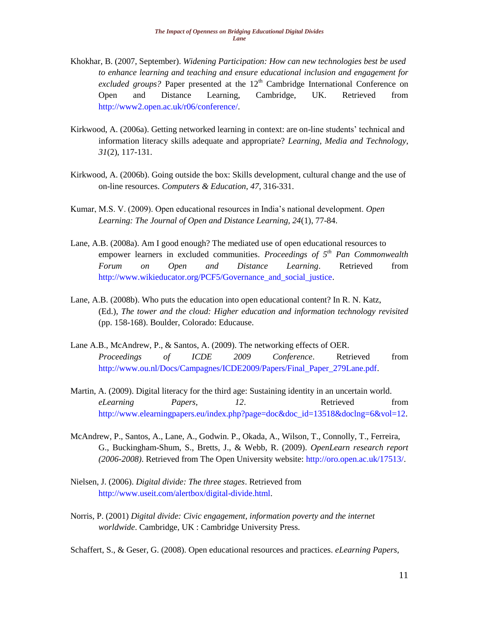- Khokhar, B. (2007, September). *Widening Participation: How can new technologies best be used to enhance learning and teaching and ensure educational inclusion and engagement for excluded groups?* Paper presented at the  $12<sup>th</sup>$  Cambridge International Conference on Open and Distance Learning, Cambridge, UK. Retrieved from [http://www2.open.ac.uk/r06/conference/.](http://www2.open.ac.uk/r06/conference/)
- Kirkwood, A. (2006a). Getting networked learning in context: are on-line students" technical and information literacy skills adequate and appropriate? *Learning, Media and Technology*, *31*(2), 117-131.
- Kirkwood, A. (2006b). Going outside the box: Skills development, cultural change and the use of on-line resources. *Computers & Education, 47*, 316-331.
- Kumar, M.S. V. (2009). Open educational resources in India"s national development. *Open Learning: The Journal of Open and Distance Learning, 24*(1), 77-84.
- Lane, A.B. (2008a). Am I good enough? The mediated use of open educational resources to empower learners in excluded communities. *Proceedings of 5th Pan Commonwealth Forum on Open and Distance Learning*. Retrieved from http://www.wikieducator.org/PCF5/Governance and social justice.
- Lane, A.B. (2008b). Who puts the education into open educational content? In R. N. Katz, (Ed.), *The tower and the cloud: Higher education and information technology revisited* (pp. 158-168). Boulder, Colorado: Educause.
- Lane A.B., McAndrew, P., & Santos, A. (2009). The networking effects of OER. *Proceedings of ICDE 2009 Conference*. Retrieved from [http://www.ou.nl/Docs/Campagnes/ICDE2009/Papers/Final\\_Paper\\_279Lane.pdf.](http://www.ou.nl/Docs/Campagnes/ICDE2009/Papers/Final_Paper_279Lane.pdf)
- Martin, A. (2009). Digital literacy for the third age: Sustaining identity in an uncertain world. *eLearning Papers,* 12. Retrieved from [http://www.elearningpapers.eu/index.php?page=doc&doc\\_id=13518&doclng=6&vol=12.](http://www.elearningpapers.eu/index.php?page=doc&doc_id=13518&doclng=6&vol=12)
- McAndrew, P., Santos, A., Lane, A., Godwin. P., Okada, A., Wilson, T., Connolly, T., Ferreira, G., Buckingham-Shum, S., Bretts, J., & Webb, R. (2009). *OpenLearn research report (2006-2008)*. Retrieved from The Open University website: [http://oro.open.ac.uk/17513/.](http://oro.open.ac.uk/17513/)
- Nielsen, J. (2006). *Digital divide: The three stages*. Retrieved from [http://www.useit.com/alertbox/digital-divide.html.](http://www.useit.com/alertbox/digital-divide.html)
- Norris, P. (2001) *Digital divide: Civic engagement, information poverty and the internet worldwide*. Cambridge, UK : Cambridge University Press.

Schaffert, S., & Geser, G. (2008). Open educational resources and practices. *eLearning Papers,*